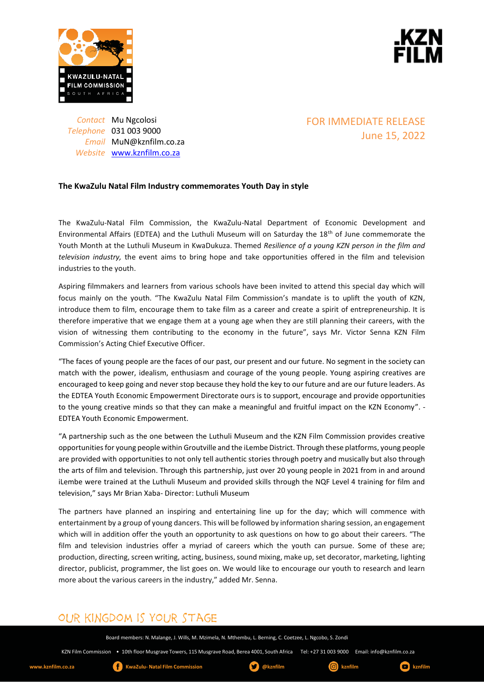



*Contact* Mu Ngcolosi *Telephone* 031 003 9000 *Email* MuN@kznfilm.co.za *Website* [www.kznfilm.co.za](http://www.kznfilm.co.za/)

### FOR IMMEDIATE RELEASE June 15, 2022

### **The KwaZulu Natal Film Industry commemorates Youth Day in style**

The KwaZulu-Natal Film Commission, the KwaZulu-Natal Department of Economic Development and Environmental Affairs (EDTEA) and the Luthuli Museum will on Saturday the 18th of June commemorate the Youth Month at the Luthuli Museum in KwaDukuza. Themed *Resilience of a young KZN person in the film and television industry,* the event aims to bring hope and take opportunities offered in the film and television industries to the youth.

Aspiring filmmakers and learners from various schools have been invited to attend this special day which will focus mainly on the youth. "The KwaZulu Natal Film Commission's mandate is to uplift the youth of KZN, introduce them to film, encourage them to take film as a career and create a spirit of entrepreneurship. It is therefore imperative that we engage them at a young age when they are still planning their careers, with the vision of witnessing them contributing to the economy in the future", says Mr. Victor Senna KZN Film Commission's Acting Chief Executive Officer.

"The faces of young people are the faces of our past, our present and our future. No segment in the society can match with the power, idealism, enthusiasm and courage of the young people. Young aspiring creatives are encouraged to keep going and never stop because they hold the key to our future and are our future leaders. As the EDTEA Youth Economic Empowerment Directorate ours is to support, encourage and provide opportunities to the young creative minds so that they can make a meaningful and fruitful impact on the KZN Economy". - EDTEA Youth Economic Empowerment.

"A partnership such as the one between the Luthuli Museum and the KZN Film Commission provides creative opportunities for young people within Groutville and the iLembe District. Through these platforms, young people are provided with opportunities to not only tell authentic stories through poetry and musically but also through the arts of film and television. Through this partnership, just over 20 young people in 2021 from in and around iLembe were trained at the Luthuli Museum and provided skills through the NQF Level 4 training for film and television," says Mr Brian Xaba- Director: Luthuli Museum

The partners have planned an inspiring and entertaining line up for the day; which will commence with entertainment by a group of young dancers. This will be followed by information sharing session, an engagement which will in addition offer the youth an opportunity to ask questions on how to go about their careers. "The film and television industries offer a myriad of careers which the youth can pursue. Some of these are; production, directing, screen writing, acting, business, sound mixing, make up, set decorator, marketing, lighting director, publicist, programmer, the list goes on. We would like to encourage our youth to research and learn more about the various careers in the industry," added Mr. Senna.

# OUR KINGDOM IS YOUR STAGE

Board members: N. Malange, J. Wills, M. Mzimela, N. Mthembu, L. Berning, C. Coetzee, L. Ngcobo, S. Zondi

KZN Film Commission • 10th floor Musgrave Towers, 115 Musgrave Road, Berea 4001, South Africa Tel: +27 31 003 9000 Email: info@kznfilm.co.za